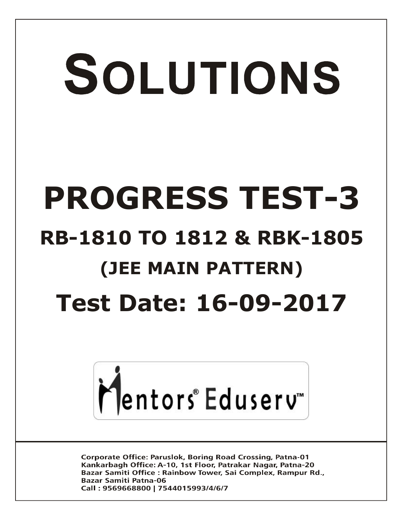# SOLUTIONS **PROGRESS TEST-3 RB-1810 TO 1812 & RBK-1805 (JEE MAIN PATTERN) Test Date: 16-09-2017**



**Corporate Office: Paruslok, Boring Road Crossing, Patna-01** Kankarbagh Office: A-10, 1st Floor, Patrakar Nagar, Patna-20 Bazar Samiti Office: Rainbow Tower, Sai Complex, Rampur Rd., **Bazar Samiti Patna-06** Call: 9569668800 | 7544015993/4/6/7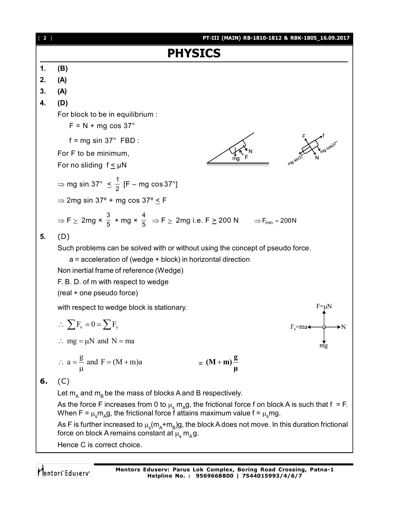| $[2]$ | PT-III (MAIN) RB-1810-1812 & RBK-1805_16.09.2017                                                                                                                                                                                                             |
|-------|--------------------------------------------------------------------------------------------------------------------------------------------------------------------------------------------------------------------------------------------------------------|
|       | <b>PHYSICS</b>                                                                                                                                                                                                                                               |
| 1.    | (B)                                                                                                                                                                                                                                                          |
| 2.    | (A)                                                                                                                                                                                                                                                          |
| 3.    | (A)                                                                                                                                                                                                                                                          |
| 4.    | (D)                                                                                                                                                                                                                                                          |
|       | For block to be in equilibrium :<br>$F = N + mg \cos 37^\circ$                                                                                                                                                                                               |
|       | $f = mg \sin 37^\circ$ FBD :                                                                                                                                                                                                                                 |
|       | For F to be minimum,<br>For no sliding $f \leq \mu N$                                                                                                                                                                                                        |
|       | ⇒ mg sin 37° $\leq \frac{1}{2}$ [F – mg cos 37°]                                                                                                                                                                                                             |
|       | $\Rightarrow$ 2mg sin 37° + mg cos 37° $\leq$ F                                                                                                                                                                                                              |
|       | $\Rightarrow$ F $\ge$ 2mg $\times$ $\frac{3}{5}$ + mg $\times$ $\frac{4}{5}$ $\Rightarrow$ F $\ge$ 2mg i.e. F $\ge$ 200 N $\Rightarrow$ F <sub>min</sub> = 200N                                                                                              |
| 5.    | (D)                                                                                                                                                                                                                                                          |
|       | Such problems can be solved with or without using the concept of pseudo force.<br>a = acceleration of (wedge + block) in horizontal direction<br>Non inertial frame of reference (Wedge)<br>F. B. D. of m with respect to wedge<br>(real + one pseudo force) |
|       | $F = \mu N$<br>with respect to wedge block is stationary.                                                                                                                                                                                                    |
|       | $\therefore \sum F_x = 0 = \sum F_y$<br>$F_p = ma \triangleleft$                                                                                                                                                                                             |
|       | $\therefore$ mg = $\mu$ N and N = ma<br>mg                                                                                                                                                                                                                   |
|       | $\therefore$ a = $\frac{g}{\mu}$ and F = (M + m)a<br>$= (M+m)\frac{g}{\mu}$                                                                                                                                                                                  |
| 6.    | (C)                                                                                                                                                                                                                                                          |
|       | Let $m_A$ and $m_B$ be the mass of blocks A and B respectively.                                                                                                                                                                                              |
|       | As the force F increases from 0 to $\mu_s m_A g$ , the frictional force f on block A is such that f = F.<br>When F = $\mu_s m_A g$ , the frictional force f attains maximum value f = $\mu_s mg$ .                                                           |
|       | As F is further increased to $\mu_s(m_A+m_B)g$ , the block A does not move. In this duration frictional<br>force on block A remains constant at $\mu_s m_A g$ .                                                                                              |
|       |                                                                                                                                                                                                                                                              |

Hence C is correct choice.

Mentors<sup>\*</sup> Eduserv<sup>-</sup>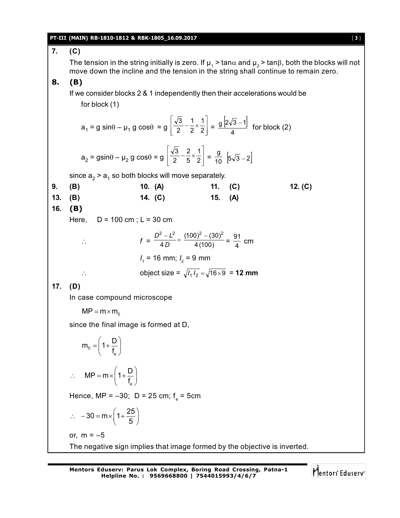### **PT-III (MAIN) RB-1810-1812 & RBK-1805\_16.09.2017** [ **3** ]

### **7. (C)** The tension in the string initially is zero. If  $\mu_{_1}$  > tan $\alpha$  and  $\mu_{_2}$  > tan $\beta$ , both the blocks will not move down the incline and the tension in the string shall continue to remain zero. **8. (B)** If we consider blocks 2 & 1 independently then their accelerations would be for block (1)  $a_1 = g \sin\theta - \mu_1 g \cos\theta = g \left[ \frac{1}{2} - \frac{1}{2} \times \frac{1}{2} \right]$  $\overline{\phantom{a}}$  $\overline{\phantom{a}}$ L  $\mathbf{r}$  $\overline{\mathsf{L}}$  $\mathbf{r}$  $-\frac{1}{2} \times \frac{1}{2}$ 1 2 1 2 3  $=\frac{g[2\sqrt{3}-1]}{4}$ 4  $\frac{g[2\sqrt{3}-1]}{4}$  for block (2)  $a_2 = g\sin\theta - \mu_2 g \cos\theta = g \left[ \frac{\mu_0}{2} - \frac{\mu_0}{5} \times \frac{\mu_0}{2} \right]$  $\overline{\phantom{a}}$  $\overline{\phantom{a}}$ L  $\mathbf{r}$ L  $\mathbf{r}$  $-\frac{2}{5} \times \frac{1}{2}$ 1 5 2 2 3  $=\frac{9}{10}$  $|5\sqrt{3}-2|$ since  $\mathsf{a}_2$  >  $\mathsf{a}_1$  so both blocks will move separately. **9. (B) 10. (A) 11. (C) 12. (C) 13. (B) 14. (C) 15. (A) 16. (B)** Here,  $D = 100$  cm;  $L = 30$  cm  $f = \frac{D^2 - L^2}{4D} = \frac{(100)^2 - (30)}{4(100)}$ 4  $\frac{2-2}{12} = \frac{(100)^2 - (30)^2}{(120)}$ *D*  $\frac{D^2 - L^2}{4D} = \frac{(100)^2 - (30)^2}{4(100)} = \frac{91}{4}$  cm *I* 1 = 16 mm; *I* 2 = 9 mm ∴ object size =  $\sqrt{I_1 I_2} = \sqrt{16 \times 9} = 12$  mm **17. (D)** In case compound microscope  $MP = m \times m_0$ since the final image is formed at D, 0 e  $m_0 = 1 + \frac{D}{f}$ f  $=\left(1+\frac{D}{f_e}\right)$ e  $MP = m \times \left(1 + \frac{D}{f}\right)$ f  $\therefore \quad MP = m \times \left(1 + \frac{D}{f_e}\right)$ Hence, MP = –30; D = 25 cm; f e = 5cm  $30 = m \times \left(1 + \frac{25}{5}\right)$  $\therefore -30 = m \times \left(1 + \frac{25}{5}\right)$ or,  $m = -5$ The negative sign implies that image formed by the objective is inverted.

Mentors Eduserv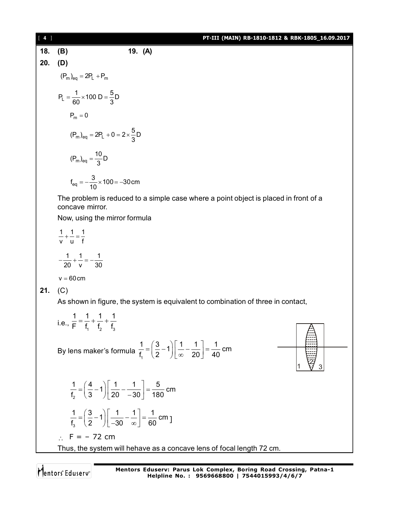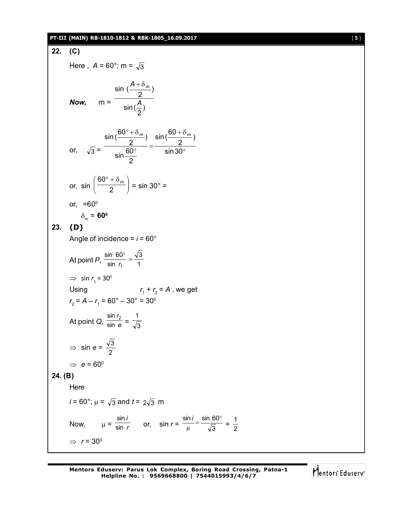### **PT-III (MAIN) RB-1810-1812 & RBK-1805\_16.09.2017** [ **5** ]

22. (C)  
\nHere, 
$$
A = 60^{\circ}
$$
;  $m = \sqrt{3}$   
\nNow,  $m = \frac{\sin(\frac{A + \delta_m}{2})}{\sin(\frac{A}{2})}$   
\nNow,  $m = \frac{\sin(\frac{60^{\circ} + \delta_m}{2})}{\sin(\frac{A}{2})} = \frac{\sin(\frac{60 + \delta_m}{2})}{\sin 30^{\circ}}$   
\nor,  $\sqrt{3} = \frac{\sin(\frac{60^{\circ} + \delta_m}{2})}{\sin 60^{\circ}} = \frac{\sin 30^{\circ} = \frac{\pi}{3}$   
\nor,  $\sin(\frac{60^{\circ} + \delta_m}{2}) = \sin 30^{\circ} = \frac{\pi}{3}$   
\nor,  $\sin(\frac{60^{\circ} + \delta_m}{2}) = \frac{\pi}{3}$   
\n23. (D)  
\nAngle of incidence =  $i = 60^{\circ}$   
\nAt point P,  $\frac{\sin 60^{\circ}}{\sin r_1} = \frac{\sqrt{3}}{1}$   
\n $\Rightarrow \sin r_1 = 30^{\circ}$   
\nUsing  
\n $r_2 = A - r_1 = 60^{\circ} - 30^{\circ} = 30^{\circ}$   
\nAt point Q,  $\frac{\sin r_2}{\sin r} = \frac{1}{\sqrt{3}}$   
\n $\Rightarrow \sin e = \frac{\sqrt{3}}{2}$   
\n $\Rightarrow e = 60^{\circ}$   
\n24. (B)  
\nHere  
\n $i = 60^{\circ}$ ;  $\mu = \sqrt{3}$  and  $t = 2\sqrt{3}$  m  
\nNow,  $\mu = \frac{\sin i}{\sin r}$  or,  $\sin r = \frac{\sin i}{\mu} = \frac{\sin 60^{\circ}}{\sqrt{3}} = \frac{1}{2}$   
\n $\Rightarrow r = 30^{\circ}$ 

Mentors<sup>e</sup> Eduserv<sup>-</sup>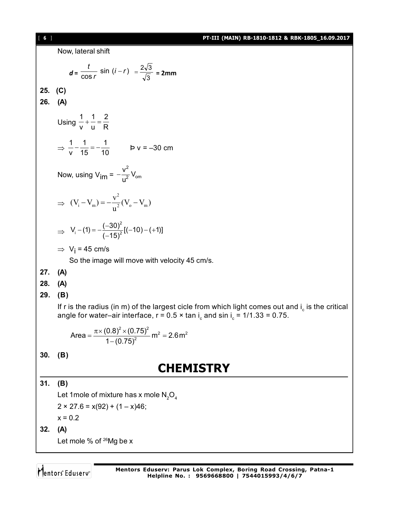[ **6** ] **PT-III (MAIN) RB-1810-1812 & RBK-1805\_16.09.2017**

Now, lateral shift  $d = \frac{c}{\cos r} \sin(i - r)$ *i r r*  $\frac{t}{\log r}$  sin  $(i-r)$  =  $\frac{2\sqrt{3}}{\sqrt{3}}$  $=\frac{2\sqrt{3}}{\sqrt{2}}$  = 2mm **25. (C) 26. (A)** Using 1 1 2 v u R  $+ - = \Rightarrow$ 1 1 1  $\frac{1}{v} - \frac{1}{15} = -\frac{1}{10}$  b v = -30 cm Now, using V<sub>im</sub> = 2 2 om  $\frac{V^2}{2}V$ u  $\overline{a}$  $\Rightarrow$ 2 i  $\mathbf{v}_m$ )  $\mathbf{v}_m$   $\mathbf{v}_m$  $(V_i - V_m) = -\frac{v^2}{2}(V_o - V_m)$ u  $-V_{\rm m}$ ) =  $-\frac{V_{\rm o}}{2}(V_{\rm o}-V_{\rm o})$  $\Rightarrow$ 2  $V_1$  – (1) =  $-\frac{(-30)^2}{(15)^2} [(-10) - (+1)]$  $(-15)$  $-(1) = -\frac{(-30)^2}{(1.45)^2} [(-10) - (+1)]$  $\overline{\phantom{a}}$  $\Rightarrow$  V<sub>j</sub> = 45 cm/s So the image will move with velocity 45 cm/s. **27. (A) 28. (A) 29. (B)** If r is the radius (in m) of the largest cicle from which light comes out and i $_{\textrm{\scriptsize c}}$  is the critical angle for water–air interface, r = 0.5  $\times$  tan i $_{\textrm{\tiny{c}}}$  and sin i $_{\textrm{\tiny{c}}}$  = 1/1.33 = 0.75.  $2 \times (0.75)^2$   $m^2 - 2.6 m^2$ Area =  $\frac{\pi \times (0.8)^2 \times (0.75)^2}{1}$  m<sup>2</sup> = 2.6m  $1 - (0.75)$  $=\frac{\pi \times (0.8)^2 \times (0.75)^2}{4 \times (0.75)^2}$  m<sup>2</sup> = 2 -**30. (B) CHEMISTRY 31. (B)** Let 1 mole of mixture has x mole  $N_2O_4$  $2 \times 27.6 = x(92) + (1 - x)46;$  $x = 0.2$ **32. (A)**

Let mole % of  $^{26}$ Mg be x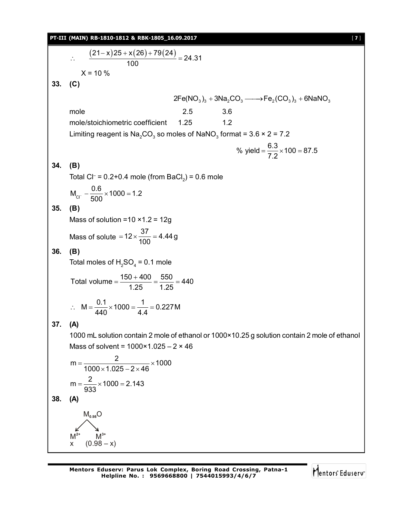**PT-III (MAIN) RB-1810-1812 & RBK-1805\_16.09.2017** [ **7** ]

$$
\frac{(21-x)25 + x(26) + 79(24)}{100} = 24.31
$$
  
\n× = 10 %  
\n33. (C)  
\n2Fe(NO<sub>3</sub>)<sub>3</sub> + 3Na<sub>2</sub>CO<sub>3</sub> → Fe<sub>2</sub>(CO<sub>3</sub>)<sub>3</sub> + 6NaNO<sub>3</sub>  
\nmole  
\n600  
\n1.25 3.6  
\nmole/stoichiometric coefficient 1.25 1.2  
\nLimiting reagent is Na<sub>2</sub>CO<sub>3</sub> so moles of NaNO<sub>3</sub> format = 3.6 × 2 = 7.2  
\n% yield =  $\frac{6.3}{7.2} \times 100 = 87.5$   
\n34. (B)  
\nTotal CI<sup>+</sup> = 0.2+0.4 mole (from BacL)<sub>3</sub> = 0.6 mole  
\n $M_{\alpha} = \frac{0.6}{500} \times 1000 = 1.2$   
\n35. (B)  
\nMass of solution = 10 × 1.2 = 12g  
\nMass of solution = 10 × 1.2 = 12g  
\nMass of solution = 10 × 1.2 = 12g  
\nMass of solution =  $\frac{37}{1.25} = 4.449$   
\n36. (B)  
\nTotal moles of H<sub>2</sub>SO<sub>4</sub> = 0.1 mole  
\nTotal volume =  $\frac{150 + 400}{1.25} = \frac{560}{1.25} = 440$   
\n∴ M =  $\frac{0.1}{440} \times 1000 = \frac{4}{4.4} = 0.227 M$   
\n37. (A)  
\n1000 mL solution contain 2 mole of ethanol or 1000×10.25 g solution contain 2 mole of ethanol  
\nMass of solvent = 1000×1.025 - 2 × 46  
\nm =  $\frac{2}{1000 \times 1.025 - 2 \times 46} \times 1000$   
\nm =  $\frac{2}{933} \times 1000 = 2.143$   
\n38. (A)  
\n $M_{\alpha_{M0}}O$   
\n $M_{\alpha_{M0}}^{3$ 

Mentors<sup>e</sup> Eduserv<sup>-</sup>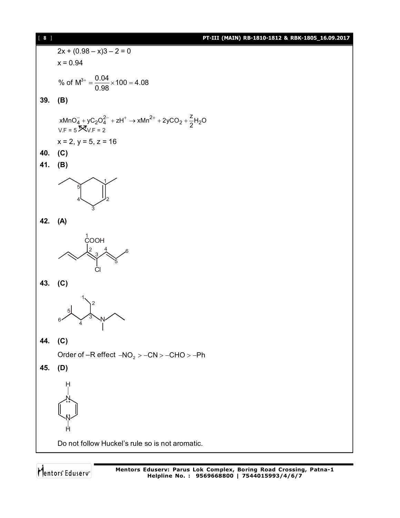[ **8** ] **PT-III (MAIN) RB-1810-1812 & RBK-1805\_16.09.2017**



Mentors<sup>®</sup> Eduserv<sup>®</sup>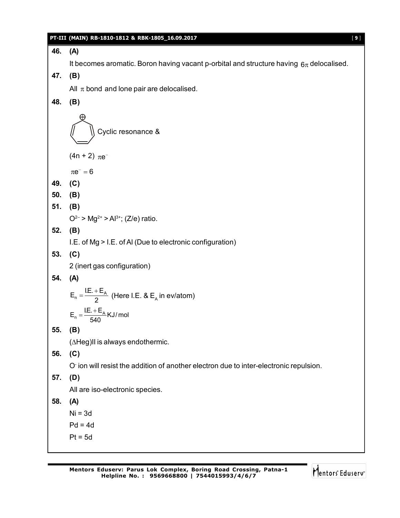### **PT-III (MAIN) RB-1810-1812 & RBK-1805\_16.09.2017** [ **9** ]

### **46. (A)**

It becomes aromatic. Boron having vacant p-orbital and structure having  $6\pi$  delocalised.

# **47. (B)**

All  $\pi$  bond and lone pair are delocalised.

### **48. (B)**

Cyclic resonance &

(4n + 2)  $\pi e^{-}$ 

 $\pi e^{-} = 6$ 

- **49. (C)**
- **50. (B)**
- **51. (B)**

 $O^{2-}$  > Mg<sup>2+</sup> > Al<sup>3+</sup>; (Z/e) ratio.

# **52. (B)**

I.E. of Mg > I.E. of Al (Due to electronic configuration)

**53. (C)**

2 (inert gas configuration)

# **54. (A)**

$$
E_n = \frac{I.E. + E_A}{2}
$$
 (Here I.E. & E<sub>A</sub> in  $\text{ev/atom}$ )  

$$
E_n = \frac{I.E. + E_A}{2} \times 1/\text{mod}
$$

$$
E_n = \frac{I.E. + E_A}{540} KJ/mol
$$

# **55. (B)**

 $(\Delta Heg)$ II is always endothermic.

# **56. (C)**

O- ion will resist the addition of another electron due to inter-electronic repulsion.

# **57. (D)**

All are iso-electronic species.

# **58. (A)**

 $Ni = 3d$ 

- $Pd = 4d$
- $Pt = 5d$

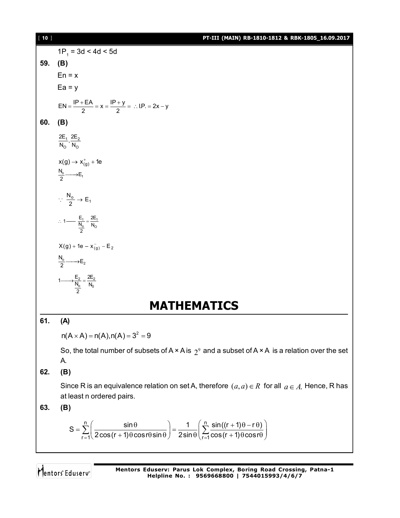[ **10** ] **PT-III (MAIN) RB-1810-1812 & RBK-1805\_16.09.2017**  $1P_1 = 3d < 4d < 5d$ **59. (B)**  $En = x$  $Ea = y$  $EN = \frac{IP + EA}{2} = x = \frac{IP + y}{2} = ... IP = 2x - y$  $=\frac{IP + EA}{2} = x = \frac{IP + y}{2} = \therefore LP = 2x - y$ **60. (B)**  $1 - 2$ O O  $\frac{2E_1}{N_{\odot}}$ ,  $\frac{2E}{N_{\odot}}$  $x(g) \rightarrow x_{(g)}^+ + 1e$  $\frac{N_o}{2} \longrightarrow E_1$  $\frac{0}{2} \rightarrow E_1$  $\therefore \frac{N_o}{2} \rightarrow E$  $1 - 4$ 1 —  $\frac{E_1}{N_0} = \frac{2E_1}{N_0}$ 2  $\therefore$  1 —  $\frac{-1}{M}$  =  $\frac{1}{2}$  $X(g) + 1e - x_{(g)}^- - E_2$  $\frac{N_o}{2} \longrightarrow E_2$ 2  $2$  $\frac{1}{2}$   $N_0$  $1 \longrightarrow \frac{E_2}{N_o} = \frac{2E}{N_c}$ 2 **MATHEMATICS 61. (A)**  $n(A \times A) = n(A), n(A) = 3^2 = 9$ So, the total number of subsets of A × A is  $\,2^{\mathfrak{g}}$  and a subset of A × A  $\,$  is a relation over the set A. **62. (B)** Since R is an equivalence relation on set A, therefore  $\,a,a)\,{\in}\,R\,$  for all  $\,a\,{\in}\,A$  . Hence, R has at least n ordered pairs. **63. (B)**  $n$   $(n-1)(n-1)$  $r = 1$   $\le$   $\cos(r + 1)$   $\cos(r + 1)$   $\le$   $\sin(r)$   $\le$   $\sin(r + 1)$  $S = \sum_{r=1}^{n} \left( \frac{\sin \theta}{2r^2 + 4r^2 + 4r^2 + 4r^2 + 4r^2 + 4r^2} \right) = \frac{1}{2r^2 + 4r^2 + 4r^2 + 4r^2 + 4r^2 + 4r^2 + 4r^2 + 4r^2 + 4r^2 + 4r^2 + 4r^2 + 4r^2 + 4r^2 + 4r^2 + 4r^2 + 4r^2 + 4r^2 + 4r^2 + 4r^2 + 4r^2 + 4r^2 + 4r^2 + 4r^2 + 4r^2 + 4r^2 + 4r^2$  $\frac{2}{2}$  2 cos(r + 1) $\theta$  cosr $\theta$ sin  $\theta$   $\Big/$  2sin  $\theta$   $\Big( \frac{2}{r-1}$  cos(r + 1) $\theta$  cosr  $=\sum_{r=1}^{n}\left(\frac{\sin\theta}{2\cos(r+1)\theta\cos r\theta\sin\theta}\right)=\frac{1}{2\sin\theta}\left(\sum_{r=1}^{n}\frac{\sin((r+1)\theta-r\theta)}{\cos(r+1)\theta\cos r\theta}\right)$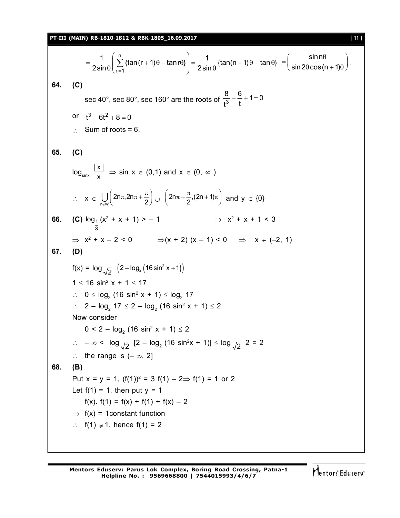**PT-III (MAIN) RB-1810-1812 & RBK-1805\_16.09.2017** [ **11** ]

$$
=\frac{1}{2\sin\theta}\left(\sum_{r=1}^{n}\left\{\tan(r+1)\theta-\tan r\theta\right\}\right)=\frac{1}{2\sin\theta}\left\{\tan(n+1)\theta-\tan\theta\right\}=\left(\frac{\sin n\theta}{\sin 2\theta\cos(n+1)\theta}\right).
$$
\n(C)

**64. (C)**

sec 40°, sec 80°, sec 160° are the roots of  $\frac{8}{13} - \frac{6}{11} + 1 = 0$ t<sup>3</sup>t  $-\frac{6}{4}+1=0$ 

- or  $t^3 6t^2 + 8 = 0$
- $\therefore$  Sum of roots = 6.

65. (C)  
\n
$$
\log_{\text{sinx}} \frac{|x|}{x} \Rightarrow \sin x \in (0,1) \text{ and } x \in (0, \infty)
$$
\n
$$
\therefore x \in \bigcup_{n \in \mathbb{N}} \left( 2n\pi, 2n\pi + \frac{\pi}{2} \right) \cup \left( 2n\pi + \frac{\pi}{2}, (2n+1)\pi \right) \text{ and } y \in \{0\}
$$
\n66. (C) 
$$
\log_{\frac{1}{3}} (x^2 + x + 1) > -1 \qquad \Rightarrow x^2 + x + 1 < 3
$$
\n
$$
\Rightarrow x^2 + x - 2 < 0 \qquad \Rightarrow (x + 2) (x - 1) < 0 \qquad \Rightarrow x \in (-2, 1)
$$
\n67. (D)  
\n
$$
f(x) = \log_{\sqrt{2}} (2 - \log_2 (16 \sin^2 x + 1))
$$
\n
$$
1 \le 16 \sin^2 x + 1 \le 17
$$
\n
$$
\therefore 0 \le \log_2 (16 \sin^2 x + 1) \le \log_2 17
$$
\n
$$
\therefore 2 - \log_2 17 \le 2 - \log_2 (16 \sin^2 x + 1) \le 2
$$
\nNow consider  
\n
$$
0 < 2 - \log_{\sqrt{2}} [2 - \log_2 (16 \sin^2 x + 1)] \le \log_{\sqrt{2}} 2 = 2
$$

$$
\therefore \quad \text{the range is } (-\infty, 2]
$$

**68. (B)**

Put x = y = 1,  $(f(1))^2 = 3 f(1) - 2 \Rightarrow f(1) = 1$  or 2 Let  $f(1) = 1$ , then put  $y = 1$ f(x).  $f(1) = f(x) + f(1) + f(x) - 2$ 

 $\Rightarrow$  f(x) = 1 constant function

$$
\therefore f(1) \neq 1, \text{ hence } f(1) = 2
$$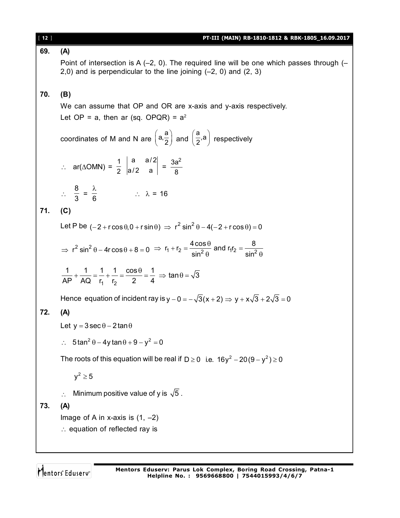| $[ 12 ]$ | PT-III (MAIN) RB-1810-1812 & RBK-1805_16.09.2017                                                                                                                                                                                     |
|----------|--------------------------------------------------------------------------------------------------------------------------------------------------------------------------------------------------------------------------------------|
| 69.      | (A)                                                                                                                                                                                                                                  |
|          | Point of intersection is A $(-2, 0)$ . The required line will be one which passes through $(-1, 0)$<br>2,0) and is perpendicular to the line joining $(-2, 0)$ and $(2, 3)$                                                          |
| 70.      | (B)                                                                                                                                                                                                                                  |
|          | We can assume that OP and OR are x-axis and y-axis respectively.                                                                                                                                                                     |
|          | Let OP = a, then ar (sq. OPQR) = $a^2$                                                                                                                                                                                               |
|          | coordinates of M and N are $\left(a,\frac{a}{2}\right)$ and $\left(\frac{a}{2},a\right)$ respectively                                                                                                                                |
|          | ∴ ar(∆OMN) = $\frac{1}{2}$ $\begin{vmatrix} a & a/2 \\ a/2 & a \end{vmatrix}$ = $\frac{3a^2}{8}$                                                                                                                                     |
|          | $\therefore \frac{8}{3} = \frac{\lambda}{6}$ $\therefore \lambda = 16$                                                                                                                                                               |
| 71.      | (C)                                                                                                                                                                                                                                  |
|          | Let P be $(-2 + r \cos \theta, 0 + r \sin \theta)$ $\Rightarrow$ $r^2 \sin^2 \theta - 4(-2 + r \cos \theta) = 0$                                                                                                                     |
|          | $\Rightarrow$ r <sup>2</sup> sin <sup>2</sup> $\theta$ – 4r cos $\theta$ + 8 = 0 $\Rightarrow$ r <sub>1</sub> + r <sub>2</sub> = $\frac{4 \cos \theta}{\sin^2 \theta}$ and r <sub>1</sub> r <sub>2</sub> = $\frac{8}{\sin^2 \theta}$ |
|          | $\frac{1}{AP} + \frac{1}{AQ} = \frac{1}{r_1} + \frac{1}{r_2} = \frac{\cos \theta}{2} = \frac{1}{4} \Rightarrow \tan \theta = \sqrt{3}$                                                                                               |
|          | Hence equation of incident ray is $y - 0 = -\sqrt{3}(x + 2) \Rightarrow y + x\sqrt{3} + 2\sqrt{3} = 0$                                                                                                                               |
| 72.      | (A)                                                                                                                                                                                                                                  |
|          | Let $y = 3 \sec \theta - 2 \tan \theta$                                                                                                                                                                                              |
|          | $\therefore$ 5 tan <sup>2</sup> $\theta$ – 4y tan $\theta$ + 9 – y <sup>2</sup> = 0                                                                                                                                                  |
|          | The roots of this equation will be real if $D \ge 0$ i.e. $16y^2 - 20(9 - y^2) \ge 0$                                                                                                                                                |
|          | $y^2 \geq 5$                                                                                                                                                                                                                         |
|          | Minimum positive value of y is $\sqrt{5}$ .<br>$\ddot{\cdot}$ .                                                                                                                                                                      |
| 73.      | (A)                                                                                                                                                                                                                                  |
|          | Image of A in x-axis is $(1, -2)$                                                                                                                                                                                                    |
|          | $\therefore$ equation of reflected ray is                                                                                                                                                                                            |
|          |                                                                                                                                                                                                                                      |

Mentors<sup>®</sup> Eduserv<sup>®</sup>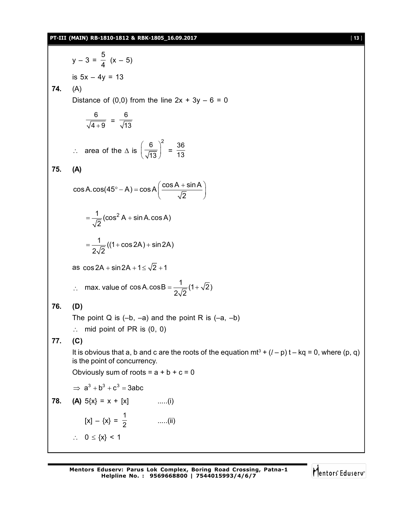### **PT-III (MAIN) RB-1810-1812 & RBK-1805\_16.09.2017** [ **13** ]

y – 3 = 5  $\frac{1}{4}$  (x – 5) is 5x – 4y = 13 **74.** (A) Distance of  $(0,0)$  from the line  $2x + 3y - 6 = 0$  $^{+}$ 6  $\frac{1}{4+9}$  = 6 13  $\therefore$  area of the  $\triangle$  is  $\left(\frac{6}{\sqrt{13}}\right)^2$  $\frac{6}{13}$  =  $\frac{36}{13}$ 13 **75. (A)**  $\cos A \cdot \cos (45^\circ - A) = \cos A \left( \frac{\cos A + \sin A}{\sqrt{2}} \right)$ 2  $\degree$  - A) = cos A $\left(\frac{\cos A + \sin A}{\sqrt{2}}\right)$  $\frac{1}{\sqrt{2}}$  (cos<sup>2</sup> A + sin A.cos A) 2  $=\frac{1}{\sqrt{2}}(\cos^2 A + \sin A)$  $\frac{1}{\sqrt{2}}((1+\cos 2A)+\sin 2A)$  $2\sqrt{2}$  $=\frac{1}{\sqrt{2}}((1+\cos 2A)+8$ as  $\cos 2A + \sin 2A + 1 \le \sqrt{2} + 1$  $\therefore$  max. value of cos A.cos B =  $\frac{1}{2\sqrt{2}}(1+\sqrt{2})$  $2\sqrt{2}$  $=\frac{1}{\sqrt{2}}(1+x)$ **76. (D)** The point Q is  $(-b, -a)$  and the point R is  $(-a, -b)$  $\therefore$  mid point of PR is  $(0, 0)$ **77. (C)** It is obvious that a, b and c are the roots of the equation mt<sup>3</sup> +  $(l - p)$  t – kq = 0, where (p, q) is the point of concurrency. Obviously sum of roots =  $a + b + c = 0$  $\Rightarrow$   $a^3 + b^3 + c^3 = 3abc$ **78. (A)**  $5\{x\} = x + [x]$  .....(i)  $[x] - \{x\} = \frac{1}{2}$  $\frac{1}{2}$  .....(ii)  $\therefore$  0  $\leq$  {x} < 1

Mentors Eduserv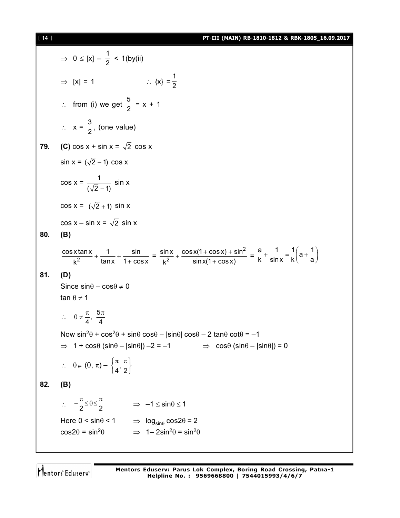[ **14** ] **PT-III (MAIN) RB-1810-1812 & RBK-1805\_16.09.2017**

$$
\Rightarrow 0 \le |x| - \frac{1}{2} < 1 \text{ (by (ii)}
$$
\n
$$
\Rightarrow |x| = 1 \qquad \therefore \{x\} = \frac{1}{2}
$$
\n
$$
\therefore \text{ from (i) we get } \frac{5}{2} = x + 1
$$
\n
$$
\therefore x = \frac{3}{2}, \text{ (one value)}
$$
\n79. (C) cos x + sin x = √2 cos x\n
$$
sin x = (\sqrt{2} - 1) cos x
$$
\n
$$
cos x = \frac{1}{(\sqrt{2} - 1)} sin x
$$
\n
$$
cos x = \frac{1}{(\sqrt{2} + 1)} sin x
$$
\n
$$
cos x - sin x = \sqrt{2} sin x
$$
\n80. (B)\n
$$
\frac{cos x tan x}{k^2} + \frac{1}{tan x} + \frac{sin}{1 + cos x} = \frac{sin x}{k^2} + \frac{cos x(1 + cos x) + sin^2}{sin x(1 + cos x)} = \frac{a}{k} + \frac{1}{sin x} = \frac{1}{k} \left(a + \frac{1}{a}\right)
$$
\n81. (D)\nSince sin \theta - cos \theta \ne 0\n
$$
tan \theta \ne 1
$$
\n
$$
\therefore \theta \ne \frac{\pi}{4}, \frac{5\pi}{4}
$$
\nNow sin<sup>2</sup>θ + cos<sup>2</sup>θ + sinθ cosθ - |sinθ| cosθ - 2 tanθ cotθ = -1\n
$$
\Rightarrow 1 + cos\theta (sin\theta - |sin\theta|) - 2 = -1 \qquad \Rightarrow cos\theta (sin\theta - |sin\theta|) = 0
$$
\n
$$
\therefore \theta \in (0, \pi) - \left\{\frac{\pi}{4}, \frac{\pi}{2}\right\}
$$
\n82. (B)\n
$$
\therefore -\frac{\pi}{2} \le \theta \le \frac{\pi}{2} \qquad \Rightarrow -1 \le \sin\theta \le 1
$$
\nHere 0 < sin < 1 \qquad \Rightarrow log\_{sin\theta} cos2\theta = 2\n
$$
cos2\theta = sin^2\theta \qquad \Rightarrow 1 - 2sin^2\theta = sin^2\theta
$$

Mentors<sup>e</sup> Eduserv<sup>-</sup>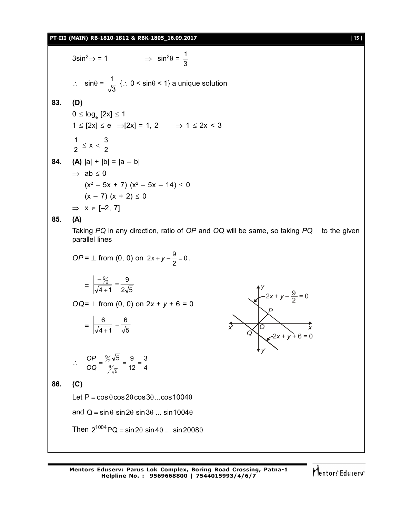### **PT-III (MAIN) RB-1810-1812 & RBK-1805\_16.09.2017** [ **15** ]

 $3\sin^2 \Rightarrow 1$ 1 3  $\therefore$  sin $\theta = \frac{1}{\sqrt{2}}$ 3  $\{ \therefore 0 \leq \sin \theta \leq 1 \}$  a unique solution **83. (D)**  $0 \leq \log_{\mathrm{e}} \mathrm{[2x]} \leq 1$  $1 \leq [2x] \leq e$   $\Rightarrow [2x] = 1, 2$   $\Rightarrow 1 \leq 2x < 3$ 1  $\frac{1}{2} \le x < \frac{3}{2}$ 2 **84. (A)**  $|a| + |b| = |a - b|$  $\Rightarrow$  ab  $\leq 0$  $(x^2 - 5x + 7)$   $(x^2 - 5x - 14) \le 0$  $(x - 7) (x + 2) \le 0$  $\Rightarrow$   $x \in [-2, 7]$ **85. (A)** Taking  $PQ$  in any direction, ratio of  $OP$  and  $OQ$  will be same, so taking  $PQ \perp$  to the given parallel lines *OP* =  $\perp$  from (0, 0) on 2*x* + *y* -  $\frac{0}{2}$  = 0  $2x + y - \frac{9}{2} = 0$ .  $=\left|\frac{1}{\sqrt{4+1}}\right| = \frac{1}{2\sqrt{5}}$ 9  $4 + 1$  $\frac{-\frac{9}{2}}{2}$  =  $^{+}$ *OQ*= ⊥ from (0, 0) on  $2x + y + 6 = 0$  $=\left|\overline{\sqrt{4+1}}\right|=\overline{\sqrt{5}}$ 6  $4 + 1$  $\frac{6}{\frac{1}{2}}$  =  $^{+}$ *P y x x y Q O*  $2x + y - \frac{9}{2} = 0$ 2*x* + *y* + 6 = 0  $\therefore \frac{91}{90} = \frac{1}{24} = \frac{9}{12} = \frac{9}{4}$ 3 12 5 9  $\frac{6}{\sqrt{5}}$  $\frac{OP}{OQ} = \frac{\frac{9}{2}\sqrt{5}}{\frac{6}{\sqrt{5}}} = \frac{9}{12} =$ *OP* **86. (C)** Let  $P = \cos \theta \cos 2\theta \cos 3\theta$ ...cos1004 $\theta$ and  $Q = \sin \theta \sin 2\theta \sin 3\theta \dots \sin 1004\theta$ Then  $2^{1004}$  PQ = sin 2 $\theta$  sin 4 $\theta$  ... sin 2008 $\theta$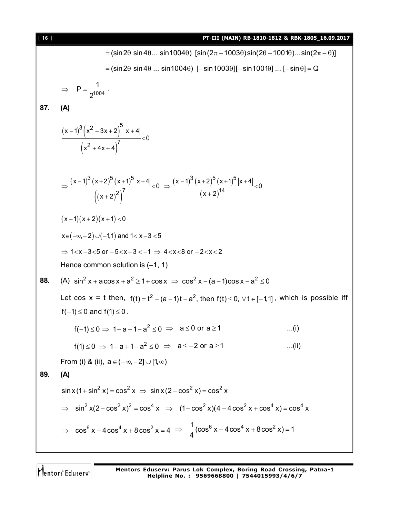| $[ 16 ]$ | PT-III (MAIN) RB-1810-1812 & RBK-1805_16.09.2017                                                                                                                                             |
|----------|----------------------------------------------------------------------------------------------------------------------------------------------------------------------------------------------|
|          | = (sin 2θ sin 4θ sin 1004θ) [sin (2π – 1003θ) sin (2θ – 1001θ)sin (2π – θ)]                                                                                                                  |
|          | $=$ (sin 2 $\theta$ sin 4 $\theta$ sin 1004 $\theta$ ) [-sin 1003 $\theta$ ][-sin 1001 $\theta$ ]  [-sin $\theta$ ] = Q                                                                      |
|          | $\Rightarrow P = \frac{1}{2^{1004}}$ .                                                                                                                                                       |
| 87.      | (A)                                                                                                                                                                                          |
|          | $\frac{(x-1)^3 (x^2+3x+2)^5  x+4 }{(x^2+4x+4)^7} < 0$                                                                                                                                        |
|          | $\Rightarrow \frac{(x-1)^{3}(x+2)^{5}(x+1)^{5} x+4 }{((x+2)^{2})^{7}} 0 \Rightarrow \frac{(x-1)^{3}(x+2)^{5}(x+1)^{5} x+4 }{(x+2)^{14}} 0$                                                   |
|          | $(x-1)(x+2)(x+1) < 0$                                                                                                                                                                        |
|          | $x \in (-\infty, -2) \cup (-1, 1)$ and $1 <  x - 3  < 5$                                                                                                                                     |
|          | $\Rightarrow$ 1 <x-3<5 -5<x-3<-1="" <math="" or="">\Rightarrow 4<x<8 -2<x<2<="" or="" th=""></x<8></x-3<5>                                                                                   |
|          | Hence common solution is $(-1, 1)$                                                                                                                                                           |
| 88.      | (A) $\sin^2 x + a \cos x + a^2 \ge 1 + \cos x \Rightarrow \cos^2 x - (a-1) \cos x - a^2 \le 0$                                                                                               |
|          | Let cos x = t then, $f(t) = t^2 - (a-1)t - a^2$ , then $f(t) \le 0$ , $\forall t \in [-1,1]$ , which is possible iff<br>$f(-1) \le 0$ and $f(1) \le 0$ .                                     |
|          | $f(-1) \le 0 \Rightarrow 1+a-1-a^2 \le 0 \Rightarrow a \le 0$ or $a \ge 1$<br>(i)                                                                                                            |
|          | $f(1) \le 0 \Rightarrow 1-a+1-a^2 \le 0 \Rightarrow a \le -2$ or $a \ge 1$<br>(ii)                                                                                                           |
|          | From (i) & (ii), $a \in (-\infty, -2] \cup [1, \infty)$                                                                                                                                      |
| 89.      | (A)                                                                                                                                                                                          |
|          | $\sin x (1 + \sin^2 x) = \cos^2 x \implies \sin x (2 - \cos^2 x) = \cos^2 x$                                                                                                                 |
|          | $\Rightarrow$ sin <sup>2</sup> x(2-cos <sup>2</sup> x) <sup>2</sup> = cos <sup>4</sup> x $\Rightarrow$ (1-cos <sup>2</sup> x)(4-4cos <sup>2</sup> x + cos <sup>4</sup> x)=cos <sup>4</sup> x |
|          | ⇒ $\cos^6 x - 4\cos^4 x + 8\cos^2 x = 4$ ⇒ $\frac{1}{4}(\cos^6 x - 4\cos^4 x + 8\cos^2 x) = 1$                                                                                               |

Mentors<sup>\*</sup> Eduserv<sup>-</sup>